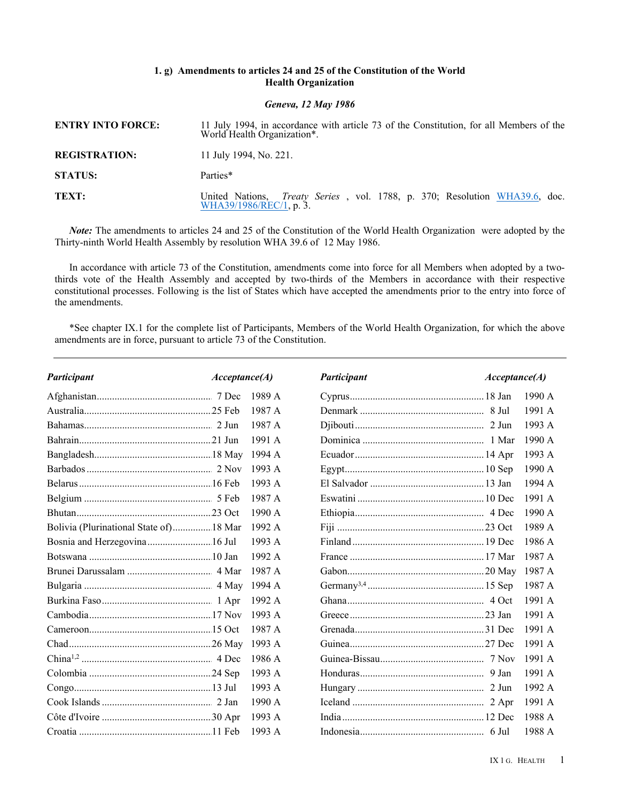## **1. g) Amendments to articles 24 and 25 of the Constitution of the World Health Organization**

## *Geneva, 12 May 1986*

| <b>ENTRY INTO FORCE:</b> | 11 July 1994, in accordance with article 73 of the Constitution, for all Members of the<br>World Health Organization*. |
|--------------------------|------------------------------------------------------------------------------------------------------------------------|
| <b>REGISTRATION:</b>     | 11 July 1994, No. 221.                                                                                                 |
| <b>STATUS:</b>           | Parties*                                                                                                               |
| TEXT:                    | United Nations, <i>Treaty Series</i> , vol. 1788, p. 370; Resolution WHA39.6, doc. WHA39/1986/REC/1, p. 3.             |

*Note:* The amendments to articles 24 and 25 of the Constitution of the World Health Organization were adopted by the Thirty-ninth World Health Assembly by resolution WHA 39.6 of 12 May 1986.

In accordance with article 73 of the Constitution, amendments come into force for all Members when adopted by a twothirds vote of the Health Assembly and accepted by two-thirds of the Members in accordance with their respective constitutional processes. Following is the list of States which have accepted the amendments prior to the entry into force of the amendments.

\*See chapter IX.1 for the complete list of Participants, Members of the World Health Organization, for which the above amendments are in force, pursuant to article 73 of the Constitution.

| Participant                             | Acceptance(A) |          | Participant | Acceptance(A) |        |
|-----------------------------------------|---------------|----------|-------------|---------------|--------|
|                                         |               | 1989 A   |             |               | 1990A  |
|                                         |               | 1987 A   |             |               | 1991A  |
|                                         |               | 1987 A   |             |               | 1993 A |
|                                         |               | 1991A    |             |               | 1990 A |
|                                         |               | 1994 A   |             |               | 1993A  |
|                                         |               | 1993 A   |             |               | 1990 A |
|                                         |               | 1993A    |             |               | 1994 A |
|                                         |               | 1987 A   |             |               | 1991 A |
|                                         |               | 1990 A   |             |               | 1990 A |
| Bolivia (Plurinational State of) 18 Mar |               | 1992 A   |             |               | 1989 A |
| Bosnia and Herzegovina 16 Jul           |               | 1993 A   |             |               | 1986 A |
|                                         |               | 1992A    |             |               | 1987 A |
|                                         |               | 1987 A   |             |               | 1987 A |
|                                         |               | 1994 A   |             |               | 1987 A |
|                                         |               | 1992A    |             |               | 1991A  |
|                                         |               | 1993 $A$ |             |               | 1991 A |
|                                         |               | 1987 A   |             |               | 1991 A |
|                                         |               | 1993 A   |             |               | 1991 A |
|                                         |               | 1986 A   |             |               | 1991 A |
|                                         |               | 1993 A   |             |               | 1991 A |
|                                         |               | 1993 A   |             |               | 1992 A |
|                                         |               | 1990A    |             |               | 1991 A |
|                                         |               | 1993 A   |             |               | 1988 A |
|                                         |               | 1993 $A$ |             |               | 1988 A |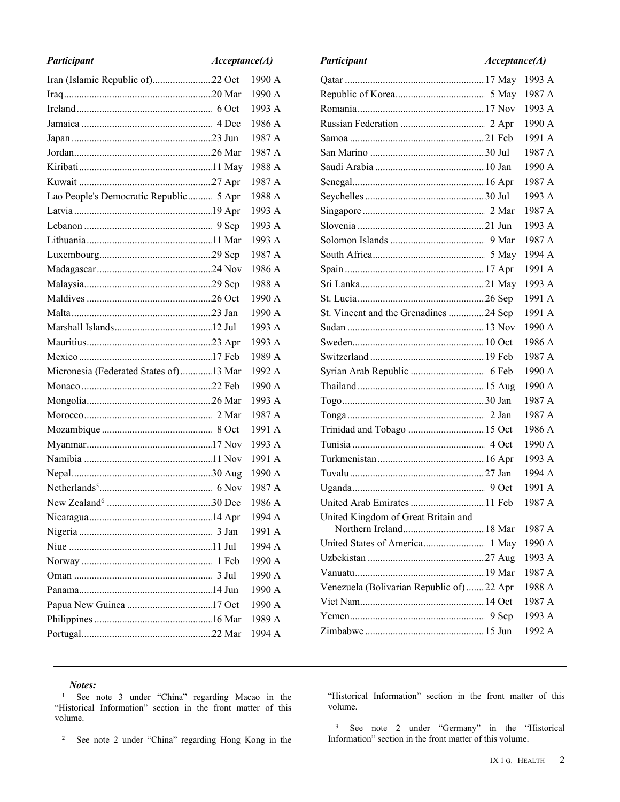| Participant                             | Acceptance(A) |  |        |
|-----------------------------------------|---------------|--|--------|
|                                         |               |  | 1990 A |
|                                         |               |  | 1990 A |
|                                         |               |  | 1993 A |
|                                         |               |  | 1986 A |
|                                         |               |  | 1987 A |
|                                         |               |  | 1987 A |
|                                         |               |  | 1988 A |
|                                         |               |  | 1987 A |
| Lao People's Democratic Republic 5 Apr  |               |  | 1988 A |
|                                         |               |  | 1993 A |
|                                         |               |  | 1993 A |
|                                         |               |  | 1993 A |
|                                         |               |  | 1987 A |
|                                         |               |  | 1986 A |
|                                         |               |  | 1988 A |
|                                         |               |  | 1990 A |
|                                         |               |  | 1990 A |
|                                         |               |  | 1993 A |
|                                         |               |  | 1993 A |
|                                         |               |  | 1989 A |
| Micronesia (Federated States of) 13 Mar |               |  | 1992 A |
|                                         |               |  | 1990 A |
|                                         |               |  | 1993 A |
|                                         |               |  | 1987 A |
|                                         |               |  | 1991 A |
|                                         |               |  | 1993 A |
|                                         |               |  | 1991 A |
|                                         |               |  | 1990 A |
|                                         |               |  | 1987 A |
|                                         |               |  | 1986 A |
|                                         |               |  | 1994 A |
|                                         | 3 Jan         |  | 1991 A |
|                                         |               |  | 1994 A |
|                                         | 1 Feb         |  | 1990 A |
|                                         | 3 Jul         |  | 1990 A |
|                                         |               |  | 1990 A |
|                                         |               |  | 1990 A |
|                                         |               |  | 1989 A |
|                                         |               |  | 1994 A |

| Participant                              | Acceptance(A) |        |  |  |
|------------------------------------------|---------------|--------|--|--|
|                                          |               | 1993 A |  |  |
|                                          |               | 1987 A |  |  |
|                                          |               | 1993 A |  |  |
|                                          |               | 1990 A |  |  |
|                                          |               | 1991 A |  |  |
|                                          |               | 1987 A |  |  |
|                                          |               | 1990 A |  |  |
|                                          |               | 1987 A |  |  |
|                                          |               | 1993 A |  |  |
|                                          |               | 1987 A |  |  |
|                                          |               | 1993 A |  |  |
|                                          |               | 1987 A |  |  |
|                                          |               | 1994 A |  |  |
|                                          |               | 1991 A |  |  |
|                                          |               | 1993 A |  |  |
|                                          |               | 1991 A |  |  |
| St. Vincent and the Grenadines 24 Sep    |               | 1991 A |  |  |
|                                          |               | 1990 A |  |  |
|                                          |               | 1986 A |  |  |
|                                          |               | 1987 A |  |  |
|                                          |               | 1990 A |  |  |
|                                          |               | 1990 A |  |  |
|                                          |               | 1987 A |  |  |
|                                          |               | 1987 A |  |  |
| Trinidad and Tobago  15 Oct              |               | 1986 A |  |  |
|                                          |               | 1990 A |  |  |
|                                          |               | 1993 A |  |  |
|                                          |               | 1994 A |  |  |
|                                          |               | 1991 A |  |  |
| United Arab Emirates  11 Feb             |               | 1987 A |  |  |
| United Kingdom of Great Britain and      |               |        |  |  |
|                                          |               | 1987 A |  |  |
|                                          |               | 1990 A |  |  |
|                                          |               | 1993 A |  |  |
|                                          |               | 1987 A |  |  |
| Venezuela (Bolivarian Republic of)22 Apr |               | 1988 A |  |  |
|                                          |               | 1987 A |  |  |
|                                          |               | 1993 A |  |  |
|                                          |               | 1992 A |  |  |
|                                          |               |        |  |  |

## *Notes:*

<sup>1</sup> See note 3 under "China" regarding Macao in the "Historical Information" section in the front matter of this volume.

<sup>2</sup> See note 2 under "China" regarding Hong Kong in the

"Historical Information" section in the front matter of this volume.

<sup>3</sup> See note 2 under "Germany" in the "Historical Information" section in the front matter of this volume.